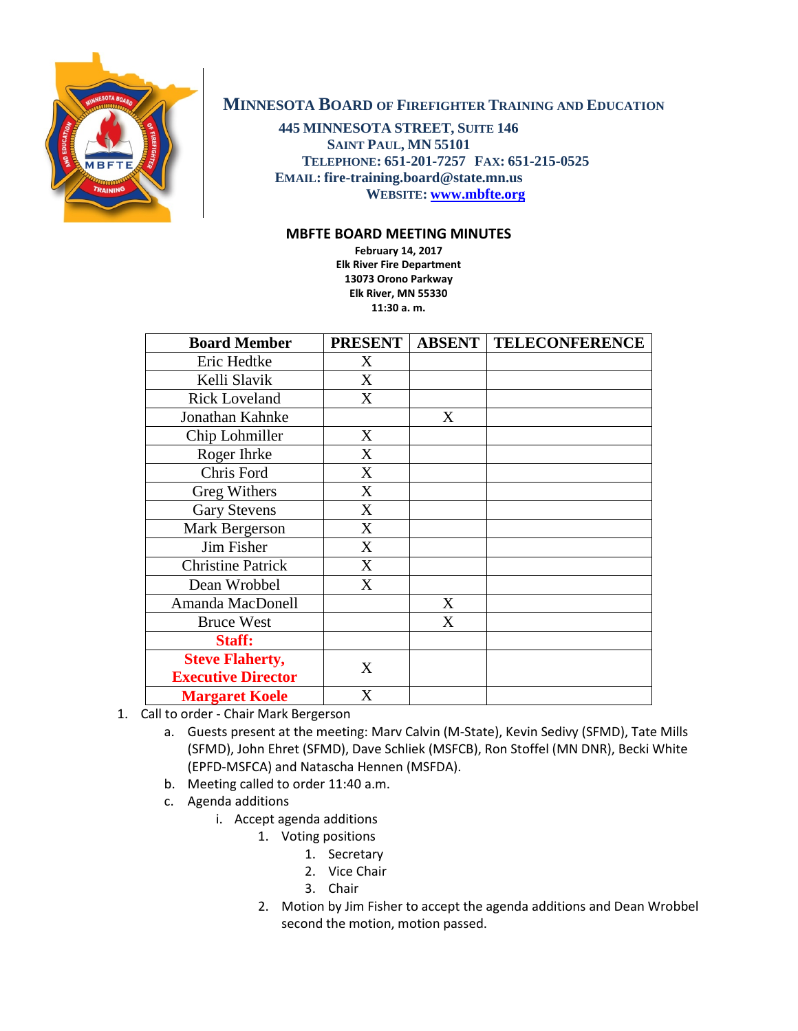

## **MINNESOTA BOARD OF FIREFIGHTER TRAINING AND EDUCATION**

**445 MINNESOTA STREET, SUITE 146 SAINT PAUL, MN 55101 TELEPHONE: 651-201-7257 FAX: 651-215-0525 EMAIL: fire-training.board@state.mn.us WEBSITE: [www.mbfte.org](http://www.mbfte.org/)**

## **MBFTE BOARD MEETING MINUTES**

**February 14, 2017 Elk River Fire Department 13073 Orono Parkway Elk River, MN 55330 11:30 a. m.** 

| <b>Board Member</b>       | <b>PRESENT</b>   | <b>ABSENT</b> | <b>TELECONFERENCE</b> |
|---------------------------|------------------|---------------|-----------------------|
| Eric Hedtke               | X                |               |                       |
| Kelli Slavik              | X                |               |                       |
| <b>Rick Loveland</b>      | X                |               |                       |
| Jonathan Kahnke           |                  | X             |                       |
| Chip Lohmiller            | X                |               |                       |
| Roger Ihrke               | X                |               |                       |
| Chris Ford                | X                |               |                       |
| Greg Withers              | X                |               |                       |
| <b>Gary Stevens</b>       | X                |               |                       |
| Mark Bergerson            | $\boldsymbol{X}$ |               |                       |
| Jim Fisher                | X                |               |                       |
| <b>Christine Patrick</b>  | X                |               |                       |
| Dean Wrobbel              | X                |               |                       |
| Amanda MacDonell          |                  | X             |                       |
| <b>Bruce West</b>         |                  | X             |                       |
| Staff:                    |                  |               |                       |
| <b>Steve Flaherty,</b>    | X                |               |                       |
| <b>Executive Director</b> |                  |               |                       |
| <b>Margaret Koele</b>     | X                |               |                       |

- 1. Call to order Chair Mark Bergerson
	- a. Guests present at the meeting: Marv Calvin (M-State), Kevin Sedivy (SFMD), Tate Mills (SFMD), John Ehret (SFMD), Dave Schliek (MSFCB), Ron Stoffel (MN DNR), Becki White (EPFD-MSFCA) and Natascha Hennen (MSFDA).
	- b. Meeting called to order 11:40 a.m.
	- c. Agenda additions
		- i. Accept agenda additions
			- 1. Voting positions
				- 1. Secretary
					- 2. Vice Chair
					- 3. Chair
			- 2. Motion by Jim Fisher to accept the agenda additions and Dean Wrobbel second the motion, motion passed.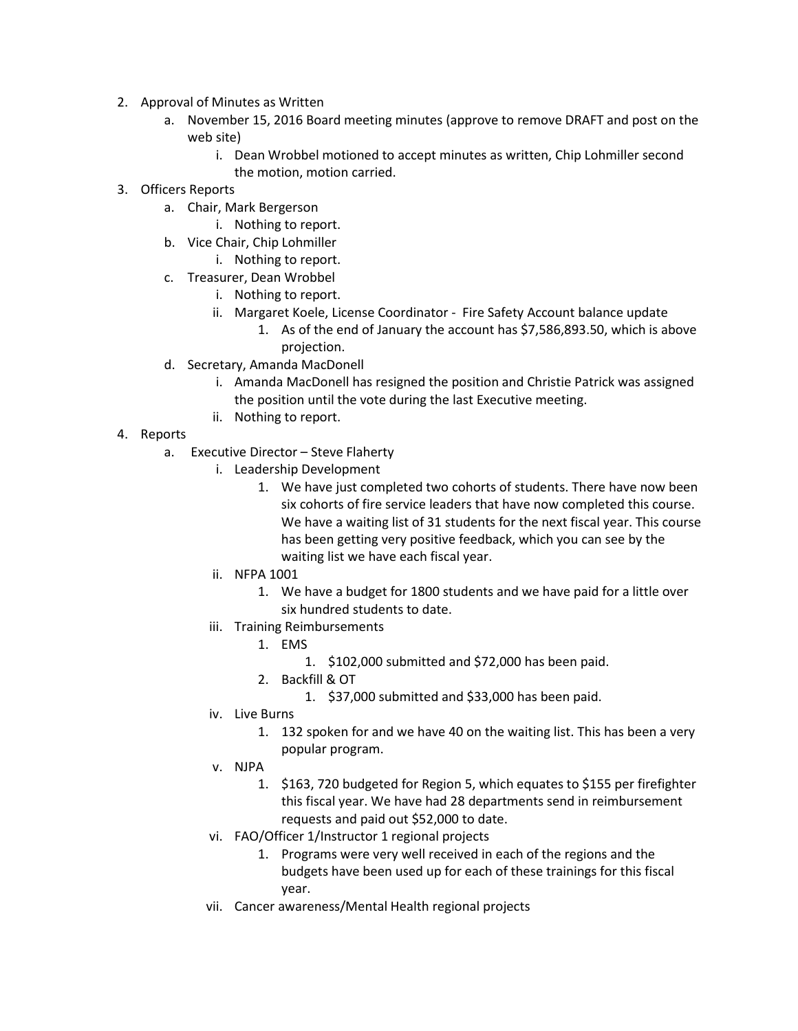- 2. Approval of Minutes as Written
	- a. November 15, 2016 Board meeting minutes (approve to remove DRAFT and post on the web site)
		- i. Dean Wrobbel motioned to accept minutes as written, Chip Lohmiller second the motion, motion carried.
- 3. Officers Reports
	- a. Chair, Mark Bergerson
		- i. Nothing to report.
	- b. Vice Chair, Chip Lohmiller
		- i. Nothing to report.
	- c. Treasurer, Dean Wrobbel
		- i. Nothing to report.
		- ii. Margaret Koele, License Coordinator Fire Safety Account balance update
			- 1. As of the end of January the account has \$7,586,893.50, which is above projection.
	- d. Secretary, Amanda MacDonell
		- i. Amanda MacDonell has resigned the position and Christie Patrick was assigned the position until the vote during the last Executive meeting.
		- ii. Nothing to report.
- 4. Reports
	- a. Executive Director Steve Flaherty
		- i. Leadership Development
			- 1. We have just completed two cohorts of students. There have now been six cohorts of fire service leaders that have now completed this course. We have a waiting list of 31 students for the next fiscal year. This course has been getting very positive feedback, which you can see by the waiting list we have each fiscal year.
		- ii. NFPA 1001
			- 1. We have a budget for 1800 students and we have paid for a little over six hundred students to date.
		- iii. Training Reimbursements
			- 1. EMS
				- 1. \$102,000 submitted and \$72,000 has been paid.
			- 2. Backfill & OT
				- 1. \$37,000 submitted and \$33,000 has been paid.
		- iv. Live Burns
			- 1. 132 spoken for and we have 40 on the waiting list. This has been a very popular program.
		- v. NJPA
			- 1. \$163, 720 budgeted for Region 5, which equates to \$155 per firefighter this fiscal year. We have had 28 departments send in reimbursement requests and paid out \$52,000 to date.
		- vi. FAO/Officer 1/Instructor 1 regional projects
			- 1. Programs were very well received in each of the regions and the budgets have been used up for each of these trainings for this fiscal year.
		- vii. Cancer awareness/Mental Health regional projects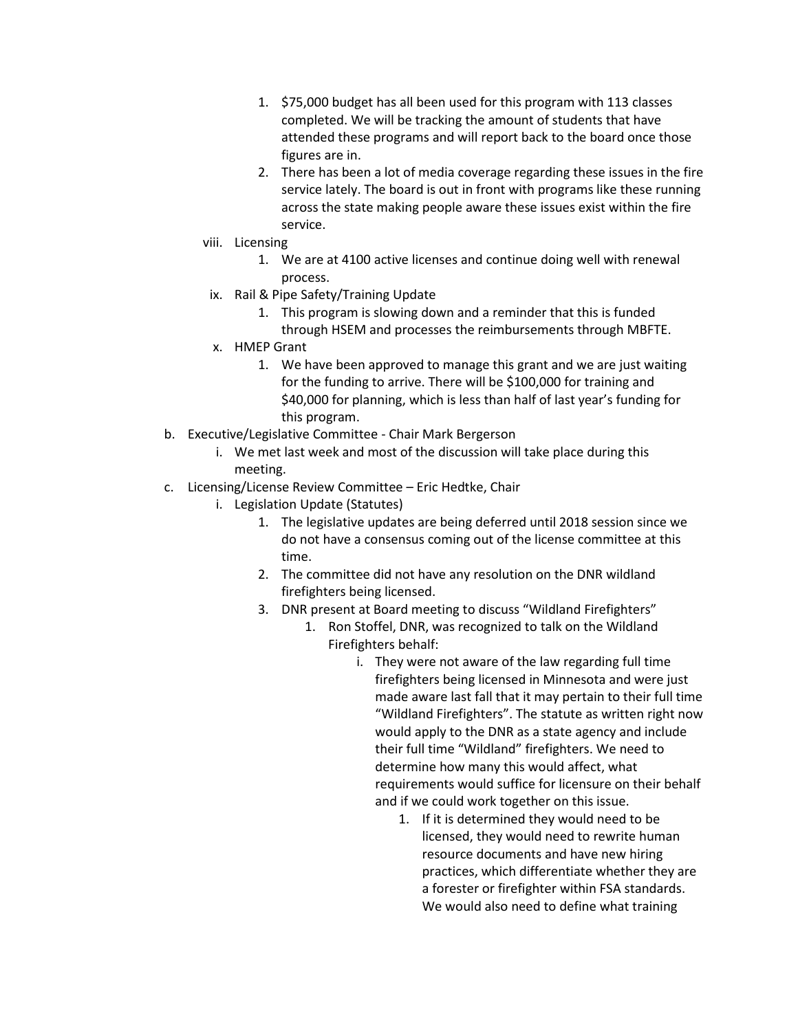- 1. \$75,000 budget has all been used for this program with 113 classes completed. We will be tracking the amount of students that have attended these programs and will report back to the board once those figures are in.
- 2. There has been a lot of media coverage regarding these issues in the fire service lately. The board is out in front with programs like these running across the state making people aware these issues exist within the fire service.
- viii. Licensing
	- 1. We are at 4100 active licenses and continue doing well with renewal process.
- ix. Rail & Pipe Safety/Training Update
	- 1. This program is slowing down and a reminder that this is funded through HSEM and processes the reimbursements through MBFTE.
- x. HMEP Grant
	- 1. We have been approved to manage this grant and we are just waiting for the funding to arrive. There will be \$100,000 for training and \$40,000 for planning, which is less than half of last year's funding for this program.
- b. Executive/Legislative Committee Chair Mark Bergerson
	- i. We met last week and most of the discussion will take place during this meeting.
- c. Licensing/License Review Committee Eric Hedtke, Chair
	- i. Legislation Update (Statutes)
		- 1. The legislative updates are being deferred until 2018 session since we do not have a consensus coming out of the license committee at this time.
		- 2. The committee did not have any resolution on the DNR wildland firefighters being licensed.
		- 3. DNR present at Board meeting to discuss "Wildland Firefighters"
			- 1. Ron Stoffel, DNR, was recognized to talk on the Wildland Firefighters behalf:
				- i. They were not aware of the law regarding full time firefighters being licensed in Minnesota and were just made aware last fall that it may pertain to their full time "Wildland Firefighters". The statute as written right now would apply to the DNR as a state agency and include their full time "Wildland" firefighters. We need to determine how many this would affect, what requirements would suffice for licensure on their behalf and if we could work together on this issue.
					- 1. If it is determined they would need to be licensed, they would need to rewrite human resource documents and have new hiring practices, which differentiate whether they are a forester or firefighter within FSA standards. We would also need to define what training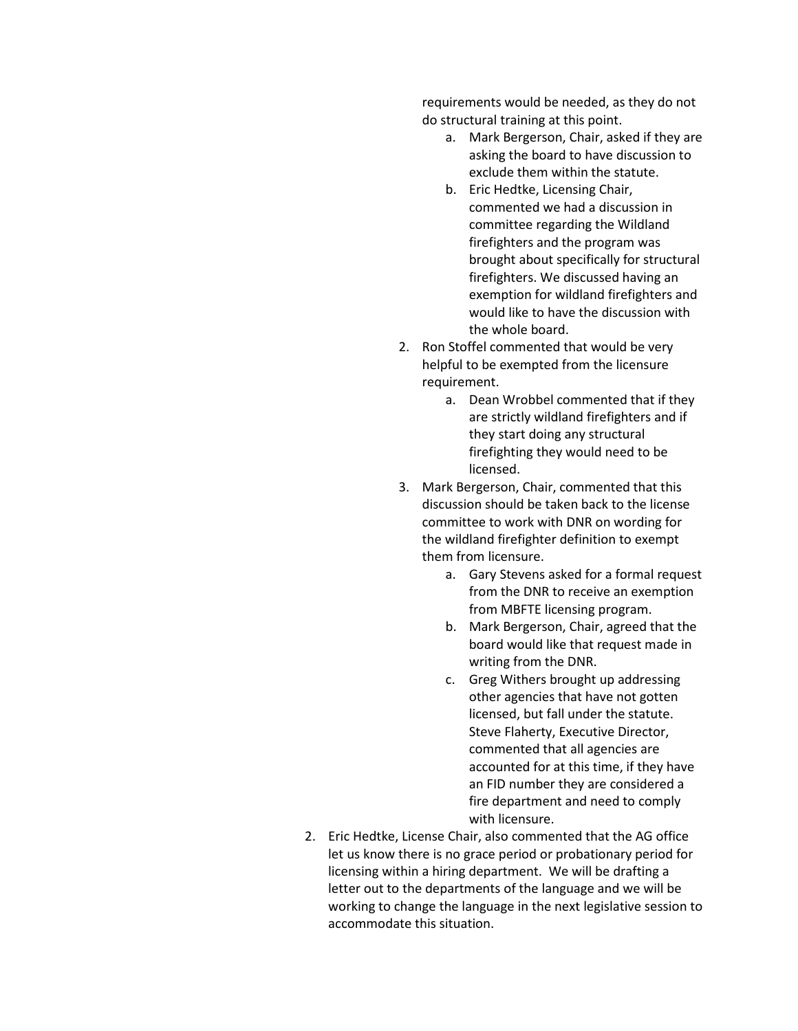requirements would be needed, as they do not do structural training at this point.

- a. Mark Bergerson, Chair, asked if they are asking the board to have discussion to exclude them within the statute.
- b. Eric Hedtke, Licensing Chair, commented we had a discussion in committee regarding the Wildland firefighters and the program was brought about specifically for structural firefighters. We discussed having an exemption for wildland firefighters and would like to have the discussion with the whole board.
- 2. Ron Stoffel commented that would be very helpful to be exempted from the licensure requirement.
	- a. Dean Wrobbel commented that if they are strictly wildland firefighters and if they start doing any structural firefighting they would need to be licensed.
- 3. Mark Bergerson, Chair, commented that this discussion should be taken back to the license committee to work with DNR on wording for the wildland firefighter definition to exempt them from licensure.
	- a. Gary Stevens asked for a formal request from the DNR to receive an exemption from MBFTE licensing program.
	- b. Mark Bergerson, Chair, agreed that the board would like that request made in writing from the DNR.
	- c. Greg Withers brought up addressing other agencies that have not gotten licensed, but fall under the statute. Steve Flaherty, Executive Director, commented that all agencies are accounted for at this time, if they have an FID number they are considered a fire department and need to comply with licensure.
- 2. Eric Hedtke, License Chair, also commented that the AG office let us know there is no grace period or probationary period for licensing within a hiring department. We will be drafting a letter out to the departments of the language and we will be working to change the language in the next legislative session to accommodate this situation.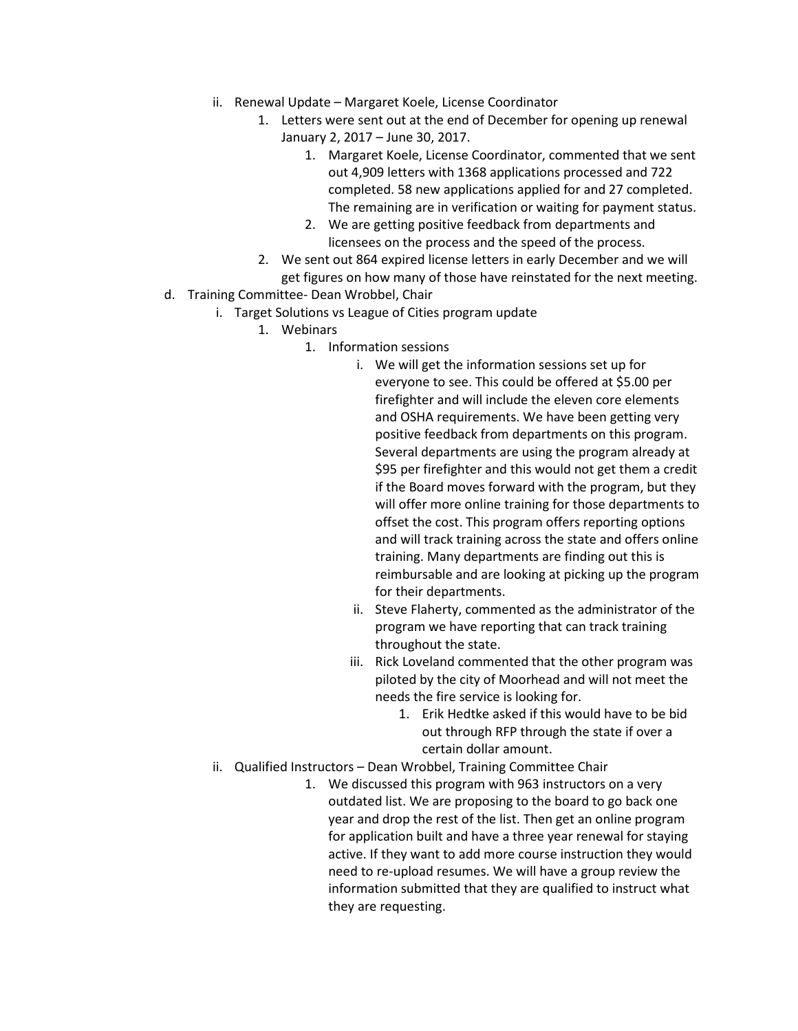- ii. Renewal Update Margaret Koele, License Coordinator
	- 1. Letters were sent out at the end of December for opening up renewal January 2, 2017 – June 30, 2017.
		- 1. Margaret Koele, License Coordinator, commented that we sent out 4,909 letters with 1368 applications processed and 722 completed. 58 new applications applied for and 27 completed. The remaining are in verification or waiting for payment status.
		- 2. We are getting positive feedback from departments and licensees on the process and the speed of the process.
	- 2. We sent out 864 expired license letters in early December and we will get figures on how many of those have reinstated for the next meeting.
- d. Training Committee- Dean Wrobbel, Chair
	- i. Target Solutions vs League of Cities program update
		- 1. Webinars
			- 1. Information sessions
				- i. We will get the information sessions set up for everyone to see. This could be offered at \$5.00 per firefighter and will include the eleven core elements and OSHA requirements. We have been getting very positive feedback from departments on this program. Several departments are using the program already at \$95 per firefighter and this would not get them a credit if the Board moves forward with the program, but they will offer more online training for those departments to offset the cost. This program offers reporting options and will track training across the state and offers online training. Many departments are finding out this is reimbursable and are looking at picking up the program for their departments.
				- ii. Steve Flaherty, commented as the administrator of the program we have reporting that can track training throughout the state.
				- iii. Rick Loveland commented that the other program was piloted by the city of Moorhead and will not meet the needs the fire service is looking for.
					- 1. Erik Hedtke asked if this would have to be bid out through RFP through the state if over a certain dollar amount.
	- ii. Qualified Instructors Dean Wrobbel, Training Committee Chair
		- 1. We discussed this program with 963 instructors on a very outdated list. We are proposing to the board to go back one year and drop the rest of the list. Then get an online program for application built and have a three year renewal for staying active. If they want to add more course instruction they would need to re-upload resumes. We will have a group review the information submitted that they are qualified to instruct what they are requesting.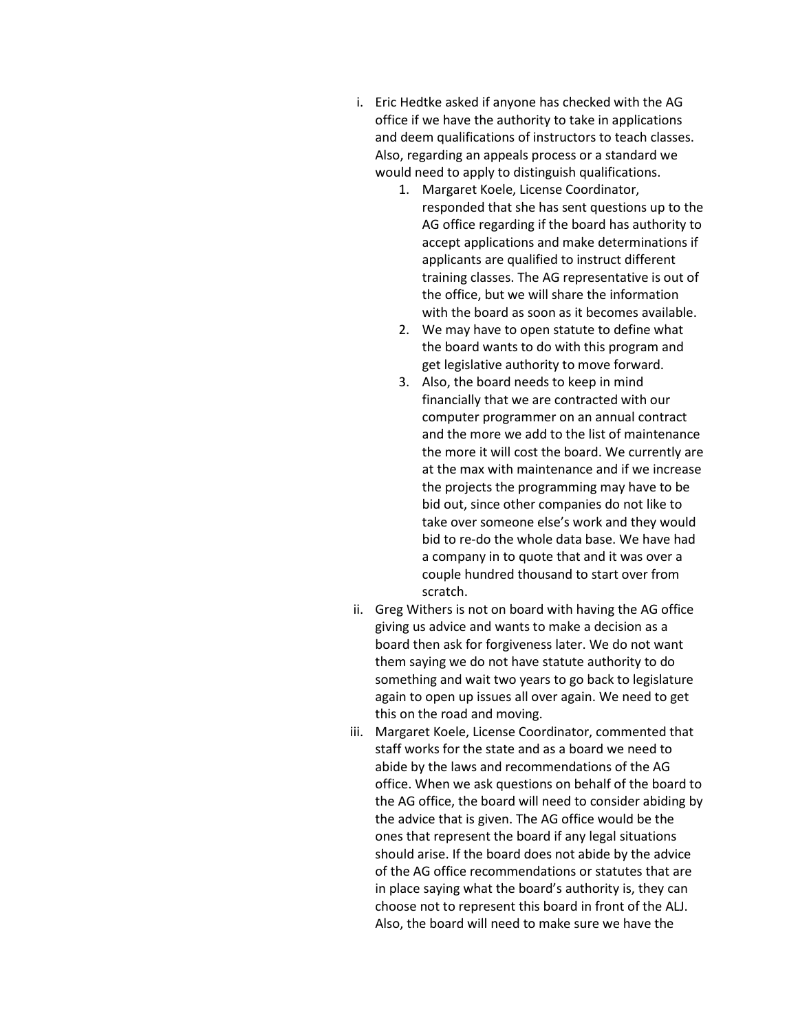- i. Eric Hedtke asked if anyone has checked with the AG office if we have the authority to take in applications and deem qualifications of instructors to teach classes. Also, regarding an appeals process or a standard we would need to apply to distinguish qualifications.
	- 1. Margaret Koele, License Coordinator, responded that she has sent questions up to the AG office regarding if the board has authority to accept applications and make determinations if applicants are qualified to instruct different training classes. The AG representative is out of the office, but we will share the information with the board as soon as it becomes available.
	- 2. We may have to open statute to define what the board wants to do with this program and get legislative authority to move forward.
	- 3. Also, the board needs to keep in mind financially that we are contracted with our computer programmer on an annual contract and the more we add to the list of maintenance the more it will cost the board. We currently are at the max with maintenance and if we increase the projects the programming may have to be bid out, since other companies do not like to take over someone else's work and they would bid to re-do the whole data base. We have had a company in to quote that and it was over a couple hundred thousand to start over from scratch.
- ii. Greg Withers is not on board with having the AG office giving us advice and wants to make a decision as a board then ask for forgiveness later. We do not want them saying we do not have statute authority to do something and wait two years to go back to legislature again to open up issues all over again. We need to get this on the road and moving.
- iii. Margaret Koele, License Coordinator, commented that staff works for the state and as a board we need to abide by the laws and recommendations of the AG office. When we ask questions on behalf of the board to the AG office, the board will need to consider abiding by the advice that is given. The AG office would be the ones that represent the board if any legal situations should arise. If the board does not abide by the advice of the AG office recommendations or statutes that are in place saying what the board's authority is, they can choose not to represent this board in front of the ALJ. Also, the board will need to make sure we have the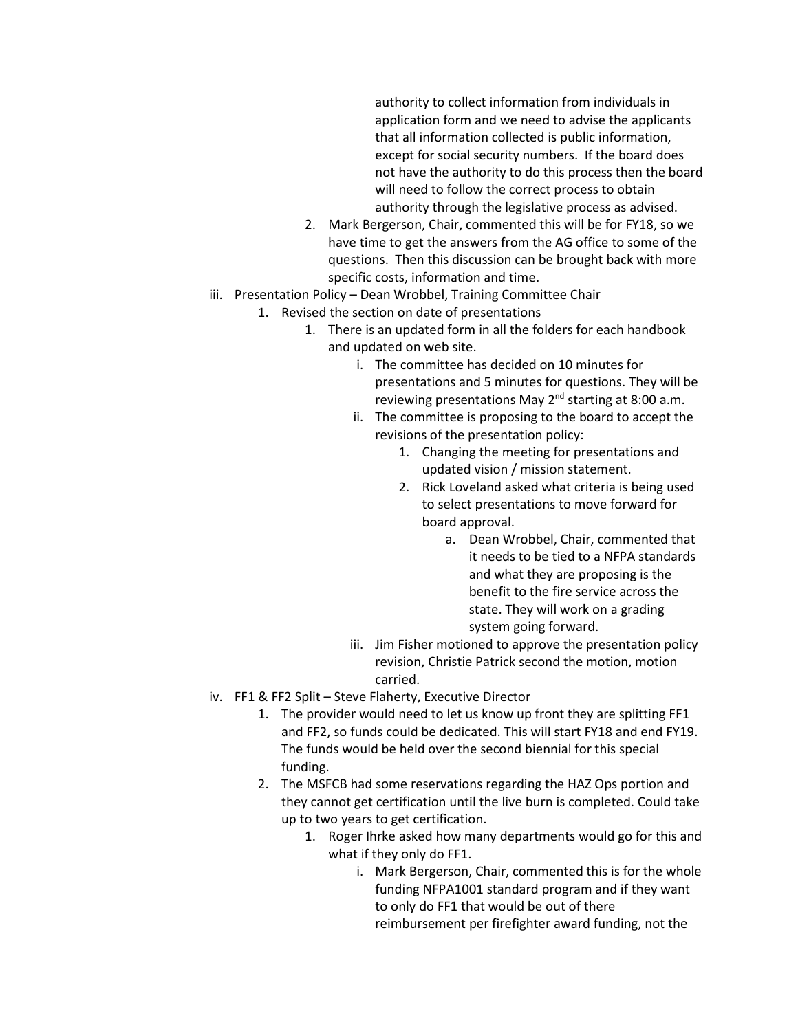authority to collect information from individuals in application form and we need to advise the applicants that all information collected is public information, except for social security numbers. If the board does not have the authority to do this process then the board will need to follow the correct process to obtain authority through the legislative process as advised.

- 2. Mark Bergerson, Chair, commented this will be for FY18, so we have time to get the answers from the AG office to some of the questions. Then this discussion can be brought back with more specific costs, information and time.
- iii. Presentation Policy Dean Wrobbel, Training Committee Chair
	- 1. Revised the section on date of presentations
		- 1. There is an updated form in all the folders for each handbook and updated on web site.
			- i. The committee has decided on 10 minutes for presentations and 5 minutes for questions. They will be reviewing presentations May  $2^{nd}$  starting at 8:00 a.m.
			- ii. The committee is proposing to the board to accept the revisions of the presentation policy:
				- 1. Changing the meeting for presentations and updated vision / mission statement.
				- 2. Rick Loveland asked what criteria is being used to select presentations to move forward for board approval.
					- a. Dean Wrobbel, Chair, commented that it needs to be tied to a NFPA standards and what they are proposing is the benefit to the fire service across the state. They will work on a grading system going forward.
			- iii. Jim Fisher motioned to approve the presentation policy revision, Christie Patrick second the motion, motion carried.
- iv. FF1 & FF2 Split Steve Flaherty, Executive Director
	- 1. The provider would need to let us know up front they are splitting FF1 and FF2, so funds could be dedicated. This will start FY18 and end FY19. The funds would be held over the second biennial for this special funding.
	- 2. The MSFCB had some reservations regarding the HAZ Ops portion and they cannot get certification until the live burn is completed. Could take up to two years to get certification.
		- 1. Roger Ihrke asked how many departments would go for this and what if they only do FF1.
			- i. Mark Bergerson, Chair, commented this is for the whole funding NFPA1001 standard program and if they want to only do FF1 that would be out of there reimbursement per firefighter award funding, not the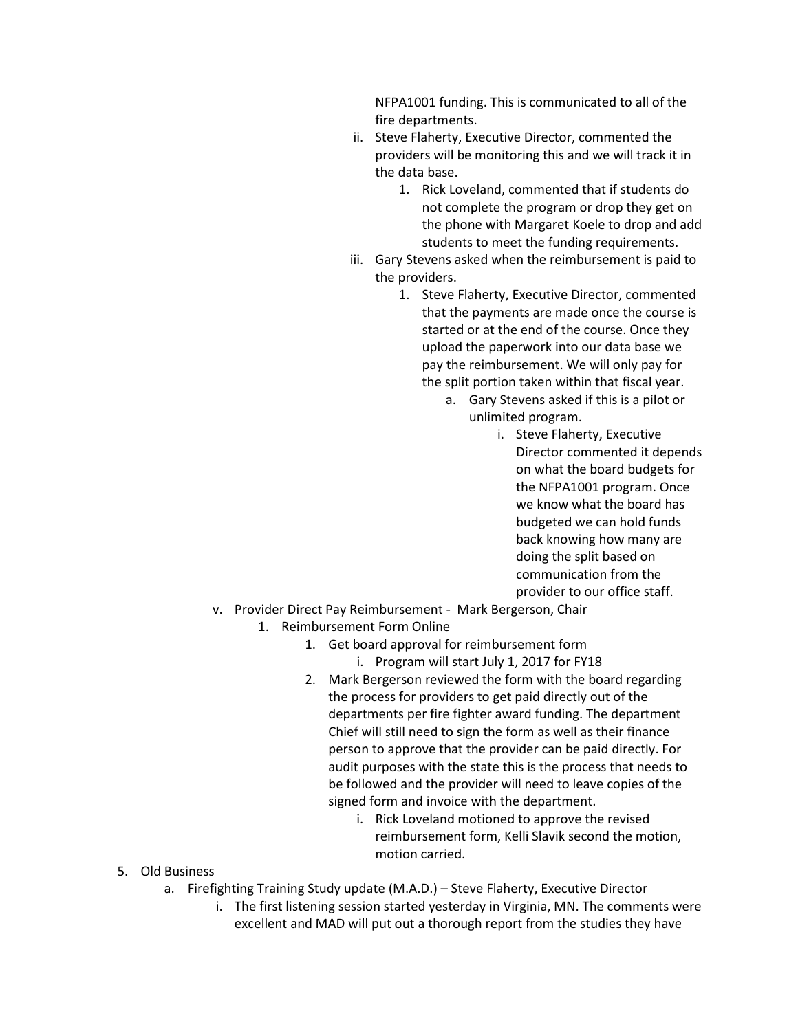NFPA1001 funding. This is communicated to all of the fire departments.

- ii. Steve Flaherty, Executive Director, commented the providers will be monitoring this and we will track it in the data base.
	- 1. Rick Loveland, commented that if students do not complete the program or drop they get on the phone with Margaret Koele to drop and add students to meet the funding requirements.
- iii. Gary Stevens asked when the reimbursement is paid to the providers.
	- 1. Steve Flaherty, Executive Director, commented that the payments are made once the course is started or at the end of the course. Once they upload the paperwork into our data base we pay the reimbursement. We will only pay for the split portion taken within that fiscal year.
		- a. Gary Stevens asked if this is a pilot or unlimited program.
			- i. Steve Flaherty, Executive Director commented it depends on what the board budgets for the NFPA1001 program. Once we know what the board has budgeted we can hold funds back knowing how many are doing the split based on communication from the provider to our office staff.
- v. Provider Direct Pay Reimbursement Mark Bergerson, Chair
	- 1. Reimbursement Form Online
		- 1. Get board approval for reimbursement form i. Program will start July 1, 2017 for FY18
		- 2. Mark Bergerson reviewed the form with the board regarding the process for providers to get paid directly out of the departments per fire fighter award funding. The department Chief will still need to sign the form as well as their finance person to approve that the provider can be paid directly. For audit purposes with the state this is the process that needs to be followed and the provider will need to leave copies of the signed form and invoice with the department.
			- i. Rick Loveland motioned to approve the revised reimbursement form, Kelli Slavik second the motion, motion carried.

- 5. Old Business
	- a. Firefighting Training Study update (M.A.D.) Steve Flaherty, Executive Director
		- i. The first listening session started yesterday in Virginia, MN. The comments were excellent and MAD will put out a thorough report from the studies they have